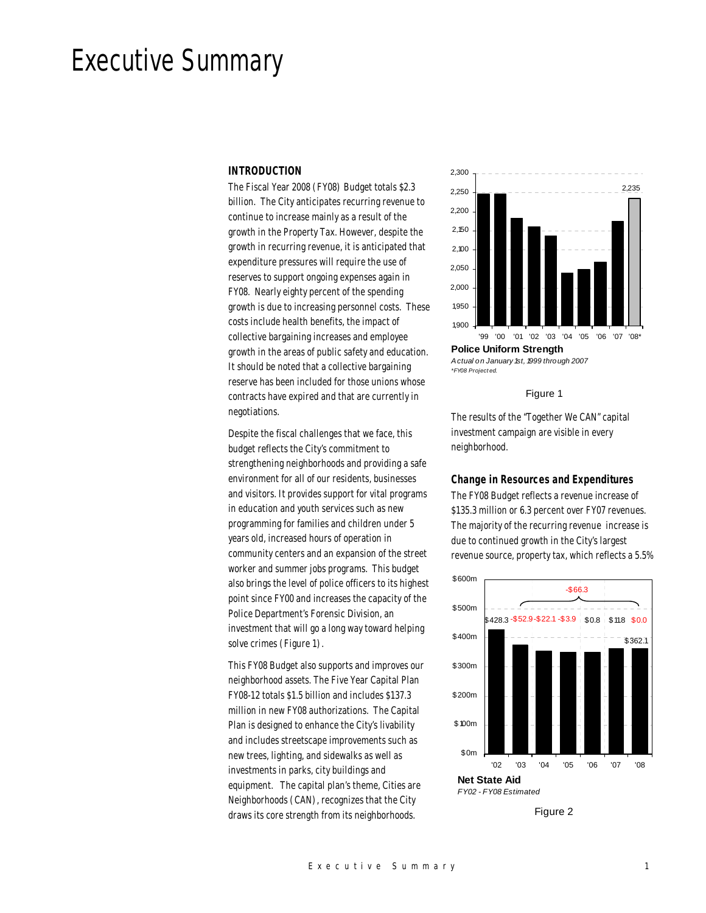# Executive Summary

## *INTRODUCTION*

The Fiscal Year 2008 (FY08) Budget totals \$2.3 billion. The City anticipates recurring revenue to continue to increase mainly as a result of the growth in the Property Tax. However, despite the growth in recurring revenue, it is anticipated that expenditure pressures will require the use of reserves to support ongoing expenses again in FY08. Nearly eighty percent of the spending growth is due to increasing personnel costs. These costs include health benefits, the impact of collective bargaining increases and employee growth in the areas of public safety and education. It should be noted that a collective bargaining reserve has been included for those unions whose contracts have expired and that are currently in negotiations.

Despite the fiscal challenges that we face, this budget reflects the City's commitment to strengthening neighborhoods and providing a safe environment for all of our residents, businesses and visitors. It provides support for vital programs in education and youth services such as new programming for families and children under 5 years old, increased hours of operation in community centers and an expansion of the street worker and summer jobs programs. This budget also brings the level of police officers to its highest point since FY00 and increases the capacity of the Police Department's Forensic Division, an investment that will go a long way toward helping solve crimes (Figure 1).

This FY08 Budget also supports and improves our neighborhood assets. The Five Year Capital Plan FY08-12 totals \$1.5 billion and includes \$137.3 million in new FY08 authorizations. The Capital Plan is designed to enhance the City's livability and includes streetscape improvements such as new trees, lighting, and sidewalks as well as investments in parks, city buildings and equipment. The capital plan's theme, Cities are Neighborhoods (CAN), recognizes that the City draws its core strength from its neighborhoods.



*\*FY08 Project ed.*

Figure 1

The results of the "Together We CAN" capital investment campaign are visible in every neighborhood.

#### *Change in Resources and Expenditures*

The FY08 Budget reflects a revenue increase of \$135.3 million or 6.3 percent over FY07 revenues. The majority of the recurring revenue increase is due to continued growth in the City's largest revenue source, property tax, which reflects a 5.5%



Figure 2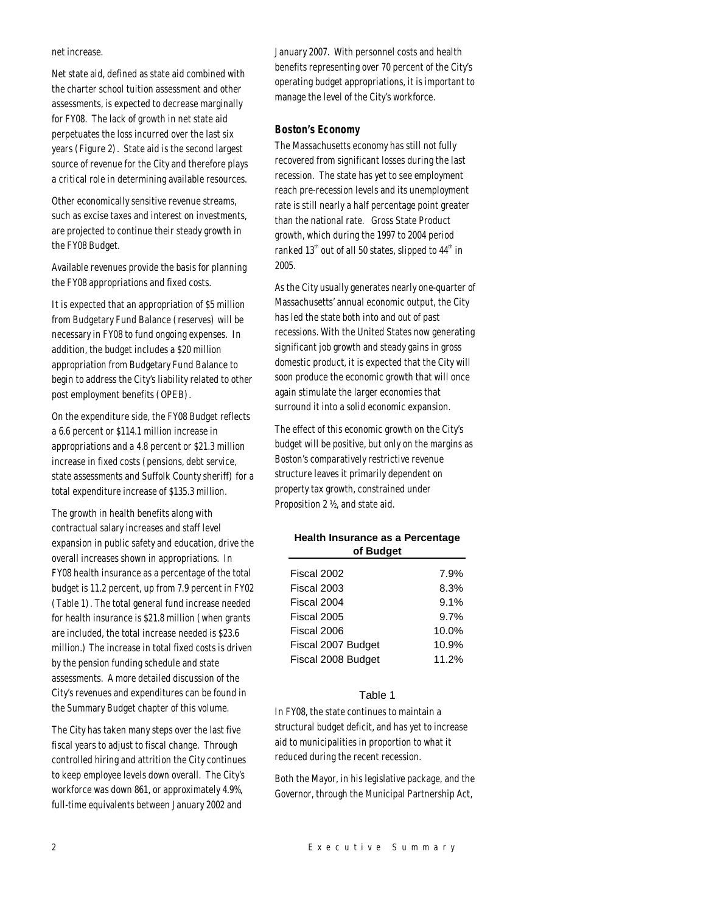net increase.

Net state aid, defined as state aid combined with the charter school tuition assessment and other assessments, is expected to decrease marginally for FY08. The lack of growth in net state aid perpetuates the loss incurred over the last six years (Figure 2). State aid is the second largest source of revenue for the City and therefore plays a critical role in determining available resources.

Other economically sensitive revenue streams, such as excise taxes and interest on investments, are projected to continue their steady growth in the FY08 Budget.

Available revenues provide the basis for planning the FY08 appropriations and fixed costs.

It is expected that an appropriation of \$5 million from Budgetary Fund Balance (reserves) will be necessary in FY08 to fund ongoing expenses. In addition, the budget includes a \$20 million appropriation from Budgetary Fund Balance to begin to address the City's liability related to other post employment benefits (OPEB).

On the expenditure side, the FY08 Budget reflects a 6.6 percent or \$114.1 million increase in appropriations and a 4.8 percent or \$21.3 million increase in fixed costs (pensions, debt service, state assessments and Suffolk County sheriff) for a total expenditure increase of \$135.3 million.

The growth in health benefits along with contractual salary increases and staff level expansion in public safety and education, drive the overall increases shown in appropriations. In FY08 health insurance as a percentage of the total budget is 11.2 percent, up from 7.9 percent in FY02 (Table 1). The total general fund increase needed for health insurance is \$21.8 million (when grants are included, the total increase needed is \$23.6 million.) The increase in total fixed costs is driven by the pension funding schedule and state assessments. A more detailed discussion of the City's revenues and expenditures can be found in the Summary Budget chapter of this volume.

The City has taken many steps over the last five fiscal years to adjust to fiscal change. Through controlled hiring and attrition the City continues to keep employee levels down overall. The City's workforce was down 861, or approximately 4.9%, full-time equivalents between January 2002 and

January 2007. With personnel costs and health benefits representing over 70 percent of the City's operating budget appropriations, it is important to manage the level of the City's workforce.

## *Boston's Economy*

The Massachusetts economy has still not fully recovered from significant losses during the last recession. The state has yet to see employment reach pre-recession levels and its unemployment rate is still nearly a half percentage point greater than the national rate. Gross State Product growth, which during the 1997 to 2004 period ranked  $13<sup>th</sup>$  out of all 50 states, slipped to  $44<sup>th</sup>$  in 2005.

As the City usually generates nearly one-quarter of Massachusetts' annual economic output, the City has led the state both into and out of past recessions. With the United States now generating significant job growth and steady gains in gross domestic product, it is expected that the City will soon produce the economic growth that will once again stimulate the larger economies that surround it into a solid economic expansion.

The effect of this economic growth on the City's budget will be positive, but only on the margins as Boston's comparatively restrictive revenue structure leaves it primarily dependent on property tax growth, constrained under Proposition 2 ½, and state aid.

## **Health Insurance as a Percentage of Budget**

| 7.9%  |
|-------|
| 8.3%  |
| 9.1%  |
| 9.7%  |
| 10.0% |
| 10.9% |
| 11.2% |
|       |

## Table 1

In FY08, the state continues to maintain a structural budget deficit, and has yet to increase aid to municipalities in proportion to what it reduced during the recent recession.

Both the Mayor, in his legislative package, and the Governor, through the Municipal Partnership Act,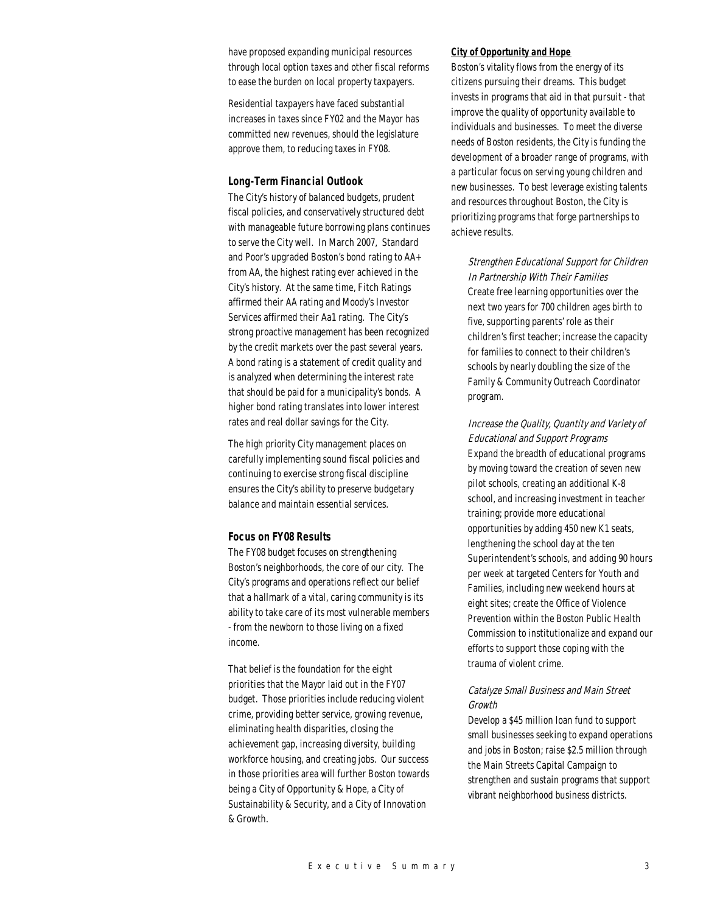have proposed expanding municipal resources through local option taxes and other fiscal reforms to ease the burden on local property taxpayers.

Residential taxpayers have faced substantial increases in taxes since FY02 and the Mayor has committed new revenues, should the legislature approve them, to reducing taxes in FY08.

#### *Long-Term Financial Outlook*

The City's history of balanced budgets, prudent fiscal policies, and conservatively structured debt with manageable future borrowing plans continues to serve the City well. In March 2007, Standard and Poor's upgraded Boston's bond rating to AA+ from AA, the highest rating ever achieved in the City's history. At the same time, Fitch Ratings affirmed their AA rating and Moody's Investor Services affirmed their Aa1 rating. The City's strong proactive management has been recognized by the credit markets over the past several years. A bond rating is a statement of credit quality and is analyzed when determining the interest rate that should be paid for a municipality's bonds. A higher bond rating translates into lower interest rates and real dollar savings for the City.

The high priority City management places on carefully implementing sound fiscal policies and continuing to exercise strong fiscal discipline ensures the City's ability to preserve budgetary balance and maintain essential services.

#### *Focus on FY08 Results*

The FY08 budget focuses on strengthening Boston's neighborhoods, the core of our city. The City's programs and operations reflect our belief that a hallmark of a vital, caring community is its ability to take care of its most vulnerable members - from the newborn to those living on a fixed income.

That belief is the foundation for the eight priorities that the Mayor laid out in the FY07 budget. Those priorities include reducing violent crime, providing better service, growing revenue, eliminating health disparities, closing the achievement gap, increasing diversity, building workforce housing, and creating jobs. Our success in those priorities area will further Boston towards being a City of Opportunity & Hope, a City of Sustainability & Security, and a City of Innovation & Growth.

#### *City of Opportunity and Hope*

Boston's vitality flows from the energy of its citizens pursuing their dreams. This budget invests in programs that aid in that pursuit - that improve the quality of opportunity available to individuals and businesses. To meet the diverse needs of Boston residents, the City is funding the development of a broader range of programs, with a particular focus on serving young children and new businesses. To best leverage existing talents and resources throughout Boston, the City is prioritizing programs that forge partnerships to achieve results.

Strengthen Educational Support for Children In Partnership With Their Families Create free learning opportunities over the next two years for 700 children ages birth to five, supporting parents' role as their children's first teacher; increase the capacity for families to connect to their children's schools by nearly doubling the size of the Family & Community Outreach Coordinator program.

Increase the Quality, Quantity and Variety of Educational and Support Programs Expand the breadth of educational programs by moving toward the creation of seven new pilot schools, creating an additional K-8 school, and increasing investment in teacher training; provide more educational opportunities by adding 450 new K1 seats, lengthening the school day at the ten Superintendent's schools, and adding 90 hours per week at targeted Centers for Youth and Families, including new weekend hours at eight sites; create the Office of Violence Prevention within the Boston Public Health Commission to institutionalize and expand our efforts to support those coping with the trauma of violent crime.

## Catalyze Small Business and Main Street Growth

Develop a \$45 million loan fund to support small businesses seeking to expand operations and jobs in Boston; raise \$2.5 million through the Main Streets Capital Campaign to strengthen and sustain programs that support vibrant neighborhood business districts.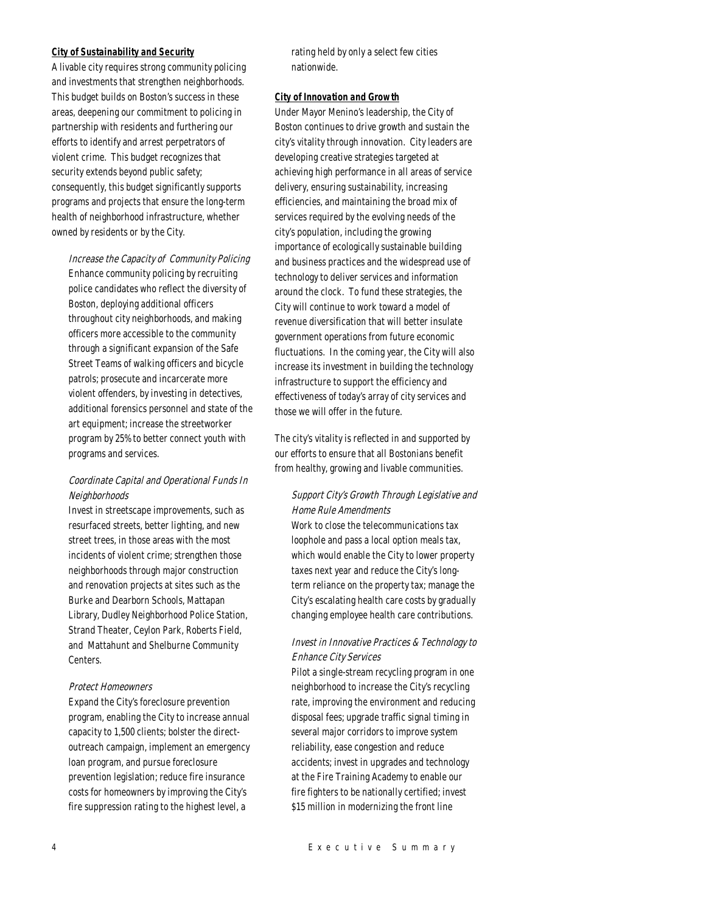#### *City of Sustainability and Security*

A livable city requires strong community policing and investments that strengthen neighborhoods. This budget builds on Boston's success in these areas, deepening our commitment to policing in partnership with residents and furthering our efforts to identify and arrest perpetrators of violent crime. This budget recognizes that security extends beyond public safety; consequently, this budget significantly supports programs and projects that ensure the long-term health of neighborhood infrastructure, whether owned by residents or by the City.

Increase the Capacity of Community Policing Enhance community policing by recruiting police candidates who reflect the diversity of Boston, deploying additional officers throughout city neighborhoods, and making officers more accessible to the community through a significant expansion of the Safe Street Teams of walking officers and bicycle patrols; prosecute and incarcerate more violent offenders, by investing in detectives, additional forensics personnel and state of the art equipment; increase the streetworker program by 25% to better connect youth with programs and services.

## Coordinate Capital and Operational Funds In Neighborhoods

Invest in streetscape improvements, such as resurfaced streets, better lighting, and new street trees, in those areas with the most incidents of violent crime; strengthen those neighborhoods through major construction and renovation projects at sites such as the Burke and Dearborn Schools, Mattapan Library, Dudley Neighborhood Police Station, Strand Theater, Ceylon Park, Roberts Field, and Mattahunt and Shelburne Community Centers.

#### Protect Homeowners

Expand the City's foreclosure prevention program, enabling the City to increase annual capacity to 1,500 clients; bolster the directoutreach campaign, implement an emergency loan program, and pursue foreclosure prevention legislation; reduce fire insurance costs for homeowners by improving the City's fire suppression rating to the highest level, a

rating held by only a select few cities nationwide.

#### *City of Innovation and Growth*

Under Mayor Menino's leadership, the City of Boston continues to drive growth and sustain the city's vitality through innovation. City leaders are developing creative strategies targeted at achieving high performance in all areas of service delivery, ensuring sustainability, increasing efficiencies, and maintaining the broad mix of services required by the evolving needs of the city's population, including the growing importance of ecologically sustainable building and business practices and the widespread use of technology to deliver services and information around the clock. To fund these strategies, the City will continue to work toward a model of revenue diversification that will better insulate government operations from future economic fluctuations. In the coming year, the City will also increase its investment in building the technology infrastructure to support the efficiency and effectiveness of today's array of city services and those we will offer in the future.

The city's vitality is reflected in and supported by our efforts to ensure that all Bostonians benefit from healthy, growing and livable communities.

# Support City's Growth Through Legislative and Home Rule Amendments

Work to close the telecommunications tax loophole and pass a local option meals tax, which would enable the City to lower property taxes next year and reduce the City's longterm reliance on the property tax; manage the City's escalating health care costs by gradually changing employee health care contributions.

## Invest in Innovative Practices & Technology to Enhance City Services

Pilot a single-stream recycling program in one neighborhood to increase the City's recycling rate, improving the environment and reducing disposal fees; upgrade traffic signal timing in several major corridors to improve system reliability, ease congestion and reduce accidents; invest in upgrades and technology at the Fire Training Academy to enable our fire fighters to be nationally certified; invest \$15 million in modernizing the front line